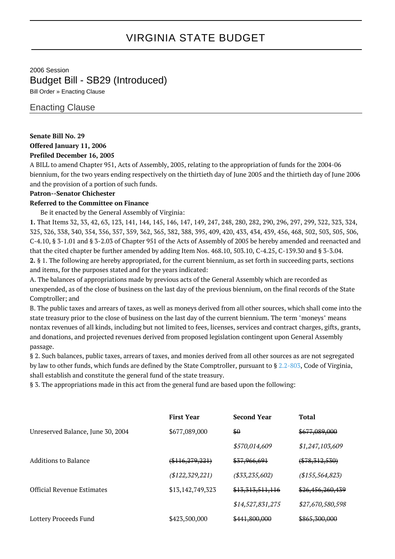# VIRGINIA STATE BUDGET

# 2006 Session Budget Bill - SB29 (Introduced)

Bill Order » Enacting Clause

## Enacting Clause

#### **Senate Bill No. 29 Offered January 11, 2006**

## **Prefiled December 16, 2005**

A BILL to amend Chapter 951, Acts of Assembly, 2005, relating to the appropriation of funds for the 2004-06 biennium, for the two years ending respectively on the thirtieth day of June 2005 and the thirtieth day of June 2006 and the provision of a portion of such funds.

#### **Patron--Senator Chichester**

#### **Referred to the Committee on Finance**

Be it enacted by the General Assembly of Virginia:

**1.** That Items 32, 33, 42, 63, 123, 141, 144, 145, 146, 147, 149, 247, 248, 280, 282, 290, 296, 297, 299, 322, 323, 324, 325, 326, 338, 340, 354, 356, 357, 359, 362, 365, 382, 388, 395, 409, 420, 433, 434, 439, 456, 468, 502, 503, 505, 506, C-4.10, § 3-1.01 and § 3-2.03 of Chapter 951 of the Acts of Assembly of 2005 be hereby amended and reenacted and that the cited chapter be further amended by adding Item Nos. 468.10, 503.10, C-4.25, C-139.30 and § 3-3.04. **2.** § 1. The following are hereby appropriated, for the current biennium, as set forth in succeeding parts, sections and items, for the purposes stated and for the years indicated:

A. The balances of appropriations made by previous acts of the General Assembly which are recorded as unexpended, as of the close of business on the last day of the previous biennium, on the final records of the State Comptroller; and

B. The public taxes and arrears of taxes, as well as moneys derived from all other sources, which shall come into the state treasury prior to the close of business on the last day of the current biennium. The term "moneys" means nontax revenues of all kinds, including but not limited to fees, licenses, services and contract charges, gifts, grants, and donations, and projected revenues derived from proposed legislation contingent upon General Assembly passage.

§ 2. Such balances, public taxes, arrears of taxes, and monies derived from all other sources as are not segregated by law to other funds, which funds are defined by the State Comptroller, pursuant to § [2.2-803,](http://law.lis.virginia.gov/vacode/2.2-803/) Code of Virginia, shall establish and constitute the general fund of the state treasury.

§ 3. The appropriations made in this act from the general fund are based upon the following:

|                                   | <b>First Year</b>  | <b>Second Year</b> | <b>Total</b>     |
|-----------------------------------|--------------------|--------------------|------------------|
| Unreserved Balance, June 30, 2004 | \$677,089,000      | \$0                | \$677,089,000    |
|                                   |                    | \$570,014,609      | \$1,247,103,609  |
| Additions to Balance              | $(*116, 279, 221)$ | \$37,966,691       | $(*78,312,530)$  |
|                                   | (\$122, 329, 221)  | ( \$33, 235, 602)  | (\$155,564,823)  |
| <b>Official Revenue Estimates</b> | \$13,142,749,323   | \$13,313,511,116   | \$26,456,260,439 |
|                                   |                    | \$14,527,831,275   | \$27,670,580,598 |
| Lottery Proceeds Fund             | \$423,500,000      | \$441,800,000      | \$865,300,000    |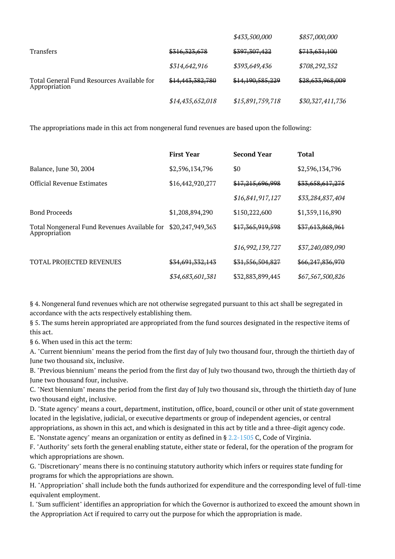|                                                             |                  | \$433,500,000    | \$857,000,000    |
|-------------------------------------------------------------|------------------|------------------|------------------|
| <b>Transfers</b>                                            | \$316,323,678    | \$397,307,422    | \$713,631,100    |
|                                                             | \$314,642,916    | \$393,649,436    | \$708,292,352    |
| Total General Fund Resources Available for<br>Appropriation | \$14,443,382,780 | \$14,190,585,229 | \$28,633,968,009 |
|                                                             | \$14,435,652,018 | \$15,891,759,718 | \$30,327,411,736 |

The appropriations made in this act from nongeneral fund revenues are based upon the following:

|                                                               | <b>First Year</b> | <b>Second Year</b> | <b>Total</b>     |
|---------------------------------------------------------------|-------------------|--------------------|------------------|
| Balance, June 30, 2004                                        | \$2,596,134,796   | \$0                | \$2,596,134,796  |
| <b>Official Revenue Estimates</b>                             | \$16,442,920,277  | \$17,215,696,998   | \$33,658,617,275 |
|                                                               |                   | \$16,841,917,127   | \$33,284,837,404 |
| <b>Bond Proceeds</b>                                          | \$1,208,894,290   | \$150,222,600      | \$1,359,116,890  |
| Total Nongeneral Fund Revenues Available for<br>Appropriation | \$20,247,949,363  | \$17,365,919,598   | \$37,613,868,961 |
|                                                               |                   | \$16,992,139,727   | \$37,240,089,090 |
| TOTAL PROJECTED REVENUES                                      | \$34,691,332,143  | \$31,556,504,827   | \$66,247,836,970 |
|                                                               | \$34,683,601,381  | \$32,883,899,445   | \$67,567,500,826 |

§ 4. Nongeneral fund revenues which are not otherwise segregated pursuant to this act shall be segregated in accordance with the acts respectively establishing them.

§ 5. The sums herein appropriated are appropriated from the fund sources designated in the respective items of this act.

§ 6. When used in this act the term:

A. "Current biennium" means the period from the first day of July two thousand four, through the thirtieth day of June two thousand six, inclusive.

B. "Previous biennium" means the period from the first day of July two thousand two, through the thirtieth day of June two thousand four, inclusive.

C. "Next biennium" means the period from the first day of July two thousand six, through the thirtieth day of June two thousand eight, inclusive.

D. "State agency" means a court, department, institution, office, board, council or other unit of state government located in the legislative, judicial, or executive departments or group of independent agencies, or central appropriations, as shown in this act, and which is designated in this act by title and a three-digit agency code.

E. "Nonstate agency" means an organization or entity as defined in § [2.2-1505](http://law.lis.virginia.gov/vacode/2.2-1505/) C, Code of Virginia.

F. "Authority" sets forth the general enabling statute, either state or federal, for the operation of the program for which appropriations are shown.

G. "Discretionary" means there is no continuing statutory authority which infers or requires state funding for programs for which the appropriations are shown.

H. "Appropriation" shall include both the funds authorized for expenditure and the corresponding level of full-time equivalent employment.

I. "Sum sufficient" identifies an appropriation for which the Governor is authorized to exceed the amount shown in the Appropriation Act if required to carry out the purpose for which the appropriation is made.